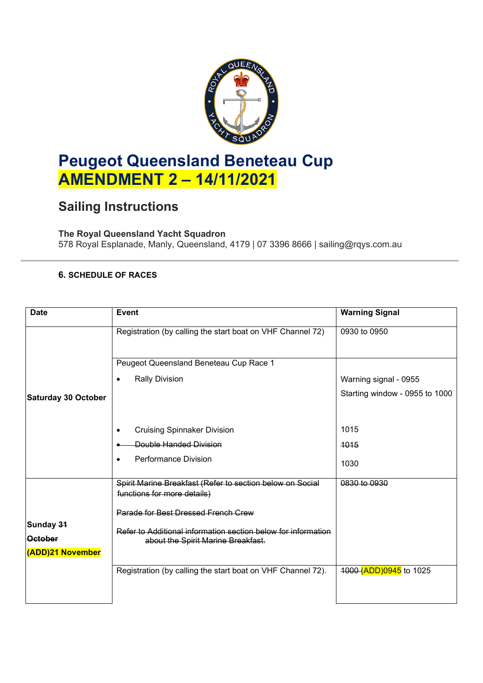

# **Peugeot Queensland Beneteau Cup AMENDMENT 2 – 14/11/2021**

## **Sailing Instructions**

### **The Royal Queensland Yacht Squadron**

578 Royal Esplanade, Manly, Queensland, 4179 | 07 3396 8666 | sailing@rqys.com.au

### **6. SCHEDULE OF RACES**

| <b>Date</b>                | <b>Event</b>                                                                             | <b>Warning Signal</b>          |
|----------------------------|------------------------------------------------------------------------------------------|--------------------------------|
|                            | Registration (by calling the start boat on VHF Channel 72)                               | 0930 to 0950                   |
|                            | Peugeot Queensland Beneteau Cup Race 1                                                   |                                |
|                            | <b>Rally Division</b><br>٠                                                               | Warning signal - 0955          |
| <b>Saturday 30 October</b> |                                                                                          | Starting window - 0955 to 1000 |
|                            |                                                                                          |                                |
|                            | <b>Cruising Spinnaker Division</b>                                                       | 1015                           |
|                            | Double Handed Division                                                                   | 1015                           |
|                            | <b>Performance Division</b>                                                              | 1030                           |
|                            | Spirit Marine Breakfast (Refer to section below on Social<br>functions for more details) | 0830 to 0930                   |
|                            | Parade for Best Dressed French Crew                                                      |                                |
| Sunday 31                  | Refer to Additional information section below for information                            |                                |
| <b>October</b>             | about the Spirit Marine Breakfast.                                                       |                                |
| <b>(ADD)21 November</b>    |                                                                                          |                                |
|                            | Registration (by calling the start boat on VHF Channel 72).                              | 4000 (ADD) 0945 to 1025        |
|                            |                                                                                          |                                |
|                            |                                                                                          |                                |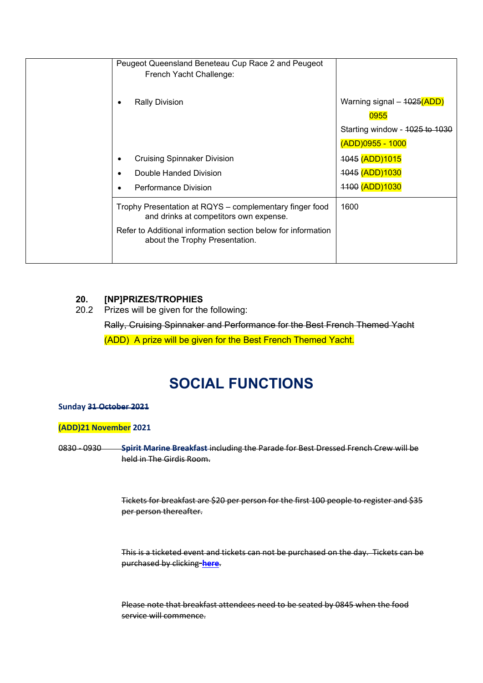| Peugeot Queensland Beneteau Cup Race 2 and Peugeot<br>French Yacht Challenge:                     |                                                    |
|---------------------------------------------------------------------------------------------------|----------------------------------------------------|
| <b>Rally Division</b>                                                                             | Warning signal - 4025(ADD)<br>0955                 |
|                                                                                                   | Starting window - 1025 to 1030<br>(ADD)0955 - 1000 |
| <b>Cruising Spinnaker Division</b><br>٠                                                           | 4045 (ADD)1015                                     |
| Double Handed Division                                                                            | 1045 (ADD) 1030                                    |
| Performance Division                                                                              | 4400 (ADD)1030                                     |
| Trophy Presentation at RQYS – complementary finger food<br>and drinks at competitors own expense. | 1600                                               |
| Refer to Additional information section below for information<br>about the Trophy Presentation.   |                                                    |
|                                                                                                   |                                                    |

#### **20. [NP]PRIZES/TROPHIES**

20.2 Prizes will be given for the following:

Rally, Cruising Spinnaker and Performance for the Best French Themed Yacht

(ADD) A prize will be given for the Best French Themed Yacht.

## **SOCIAL FUNCTIONS**

#### **Sunday 31 October 2021**

#### **(ADD)21 November 2021**

0830 - 0930 **Spirit Marine Breakfast** including the Parade for Best Dressed French Crew will be held in The Girdis Room.

> Tickets for breakfast are \$20 per person for the first 100 people to register and \$35 per person thereafter.

> This is a ticketed event and tickets can not be purchased on the day. Tickets can be purchased by clicking **[here](https://www.revolutionise.com.au/rqys/events/114703/)**.

Please note that breakfast attendees need to be seated by 0845 when the food service will commence.